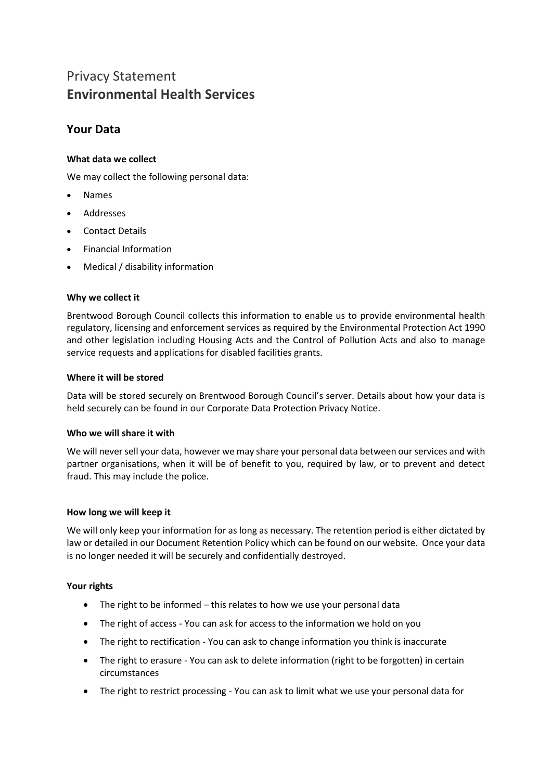# Privacy Statement **Environmental Health Services**

# **Your Data**

# **What data we collect**

We may collect the following personal data:

- Names
- Addresses
- Contact Details
- Financial Information
- Medical / disability information

## **Why we collect it**

Brentwood Borough Council collects this information to enable us to provide environmental health regulatory, licensing and enforcement services as required by the Environmental Protection Act 1990 and other legislation including Housing Acts and the Control of Pollution Acts and also to manage service requests and applications for disabled facilities grants.

## **Where it will be stored**

Data will be stored securely on Brentwood Borough Council's server. Details about how your data is held securely can be found in our Corporate Data Protection Privacy Notice.

#### **Who we will share it with**

We will never sell your data, however we may share your personal data between our services and with partner organisations, when it will be of benefit to you, required by law, or to prevent and detect fraud. This may include the police.

#### **How long we will keep it**

We will only keep your information for as long as necessary. The retention period is either dictated by law or detailed in our Document Retention Policy which can be found on our website. Once your data is no longer needed it will be securely and confidentially destroyed.

#### **Your rights**

- The right to be informed this relates to how we use your personal data
- The right of access You can ask for access to the information we hold on you
- The right to rectification You can ask to change information you think is inaccurate
- The right to erasure You can ask to delete information (right to be forgotten) in certain circumstances
- The right to restrict processing You can ask to limit what we use your personal data for